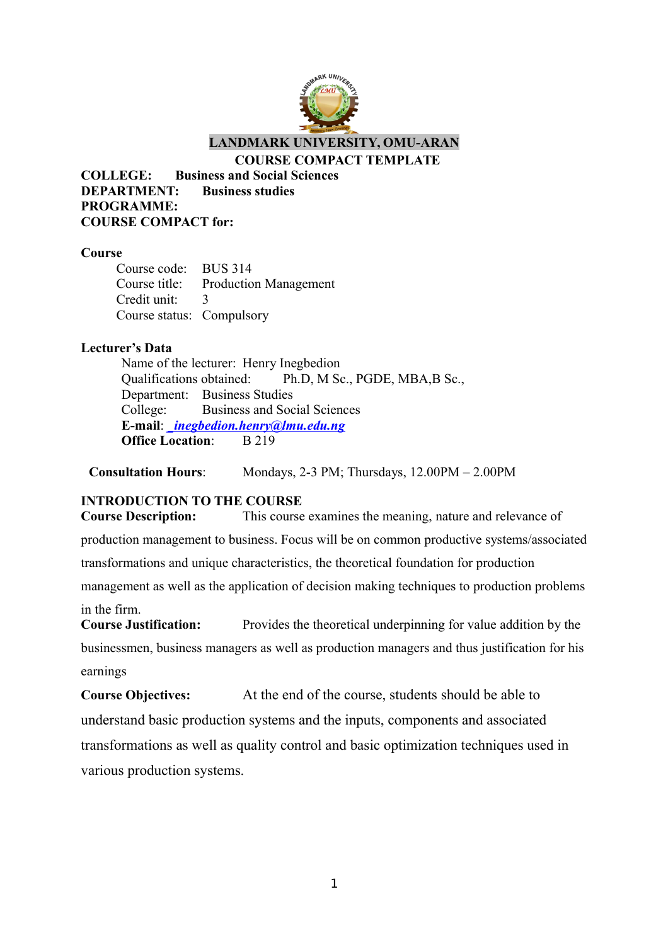

**LANDMARK UNIVERSITY, OMU-ARAN**

#### **COURSE COMPACT TEMPLATE**

**COLLEGE: Business and Social Sciences DEPARTMENT: Business studies PROGRAMME: COURSE COMPACT for:**

#### **Course**

Course code: BUS 314 Course title: Production Management Credit unit: 3 Course status: Compulsory

#### **Lecturer's Data**

Name of the lecturer: Henry Inegbedion Qualifications obtained: Ph.D, M Sc., PGDE, MBA,B Sc., Department: Business Studies College: Business and Social Sciences **E-mail**: *[\\_inegbedion.henry@lmu.edu.ng](mailto:_inegbedion.henry@lmu.edu.ng)* **Office Location:** B 219

**Consultation Hours**: Mondays, 2-3 PM; Thursdays, 12.00PM – 2.00PM

#### **INTRODUCTION TO THE COURSE**

**Course Description:** This course examines the meaning, nature and relevance of production management to business. Focus will be on common productive systems/associated transformations and unique characteristics, the theoretical foundation for production management as well as the application of decision making techniques to production problems in the firm. **Course Justification:** Provides the theoretical underpinning for value addition by the

businessmen, business managers as well as production managers and thus justification for his earnings

**Course Objectives:** At the end of the course, students should be able to understand basic production systems and the inputs, components and associated transformations as well as quality control and basic optimization techniques used in various production systems.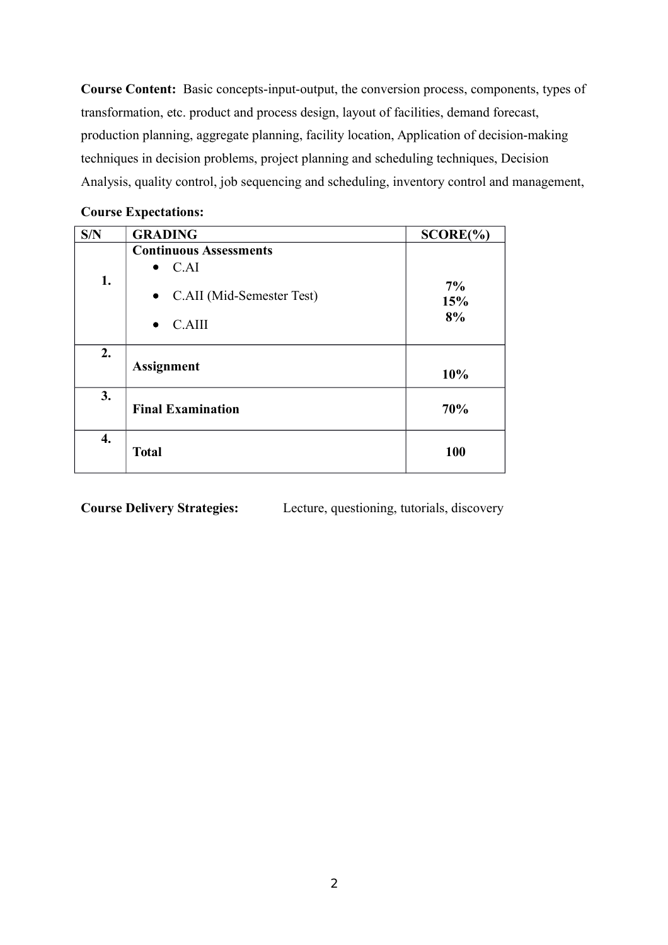**Course Content:** Basic concepts-input-output, the conversion process, components, types of transformation, etc. product and process design, layout of facilities, demand forecast, production planning, aggregate planning, facility location, Application of decision-making techniques in decision problems, project planning and scheduling techniques, Decision Analysis, quality control, job sequencing and scheduling, inventory control and management,

| Course Expectations. |                               |              |
|----------------------|-------------------------------|--------------|
| S/N                  | <b>GRADING</b>                | $SCORE(\%)$  |
|                      | <b>Continuous Assessments</b> |              |
|                      | C.AI<br>$\bullet$             |              |
| 1.                   | • C.AII (Mid-Semester Test)   | $7\%$<br>15% |
|                      | C.AIII<br>$\bullet$           | 8%           |
| 2.                   | <b>Assignment</b>             | 10%          |
| 3.                   | <b>Final Examination</b>      | 70%          |
| 4.                   | <b>Total</b>                  | 100          |

#### **Course Expectations:**

**Course Delivery Strategies:** Lecture, questioning, tutorials, discovery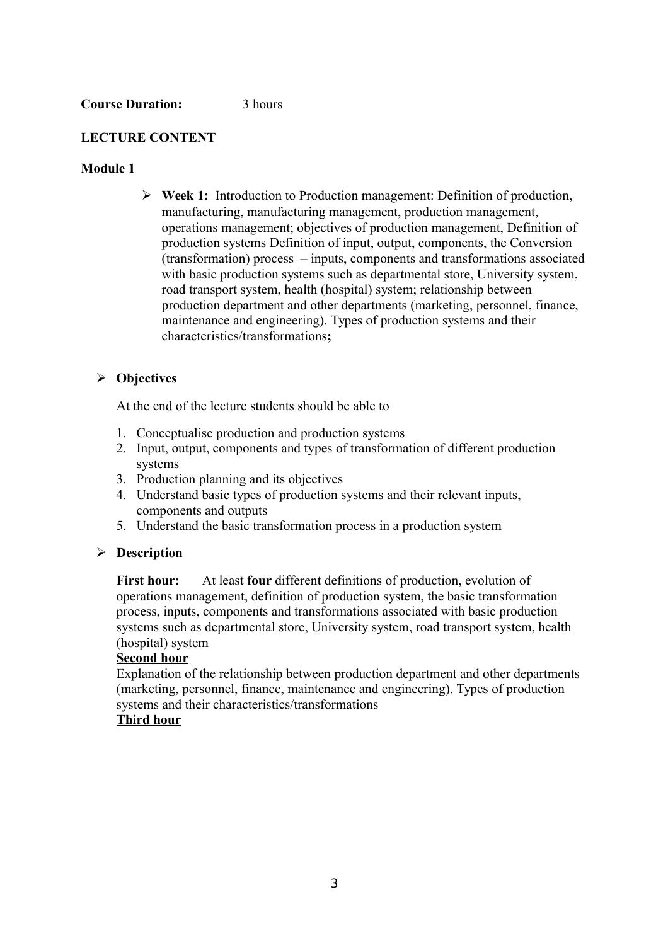#### **Course Duration:** 3 hours

#### **LECTURE CONTENT**

#### **Module 1**

 **Week 1:** Introduction to Production management: Definition of production, manufacturing, manufacturing management, production management, operations management; objectives of production management, Definition of production systems Definition of input, output, components, the Conversion (transformation) process – inputs, components and transformations associated with basic production systems such as departmental store, University system, road transport system, health (hospital) system; relationship between production department and other departments (marketing, personnel, finance, maintenance and engineering). Types of production systems and their characteristics/transformations**;**

#### **Objectives**

At the end of the lecture students should be able to

- 1. Conceptualise production and production systems
- 2. Input, output, components and types of transformation of different production systems
- 3. Production planning and its objectives
- 4. Understand basic types of production systems and their relevant inputs, components and outputs
- 5. Understand the basic transformation process in a production system

#### **Description**

**First hour:** At least **four** different definitions of production, evolution of operations management, definition of production system, the basic transformation process, inputs, components and transformations associated with basic production systems such as departmental store, University system, road transport system, health (hospital) system

#### **Second hour**

Explanation of the relationship between production department and other departments (marketing, personnel, finance, maintenance and engineering). Types of production systems and their characteristics/transformations

#### **Third hour**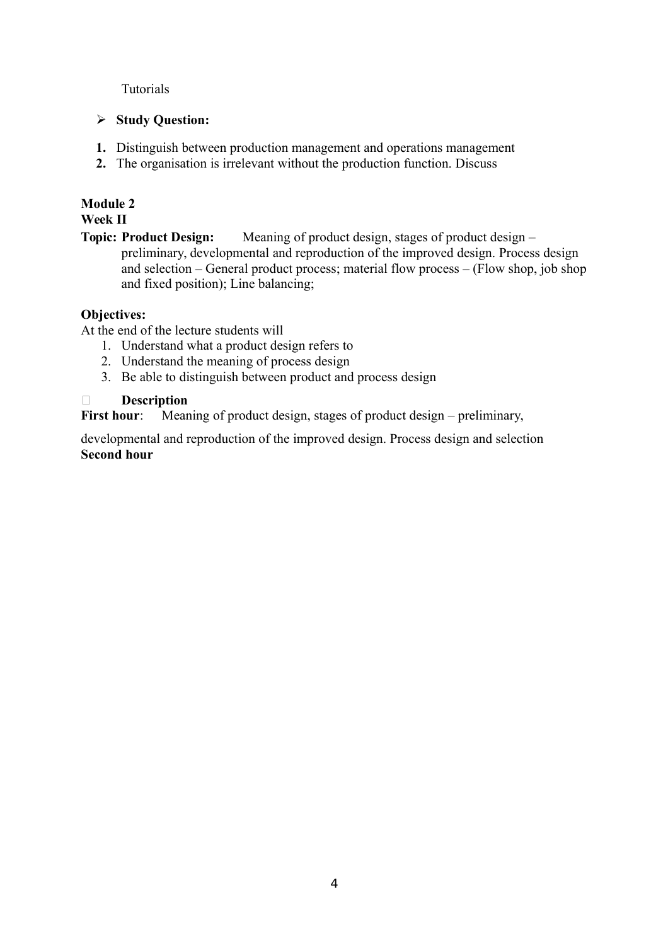Tutorials

## **Study Question:**

- **1.** Distinguish between production management and operations management
- **2.** The organisation is irrelevant without the production function. Discuss

# **Module 2**

**Week II**

**Topic: Product Design:** Meaning of product design, stages of product design – preliminary, developmental and reproduction of the improved design. Process design and selection – General product process; material flow process – (Flow shop, job shop and fixed position); Line balancing;

# **Objectives:**

At the end of the lecture students will

- 1. Understand what a product design refers to
- 2. Understand the meaning of process design
- 3. Be able to distinguish between product and process design

# **Description**

First hour: Meaning of product design, stages of product design – preliminary,

developmental and reproduction of the improved design. Process design and selection **Second hour**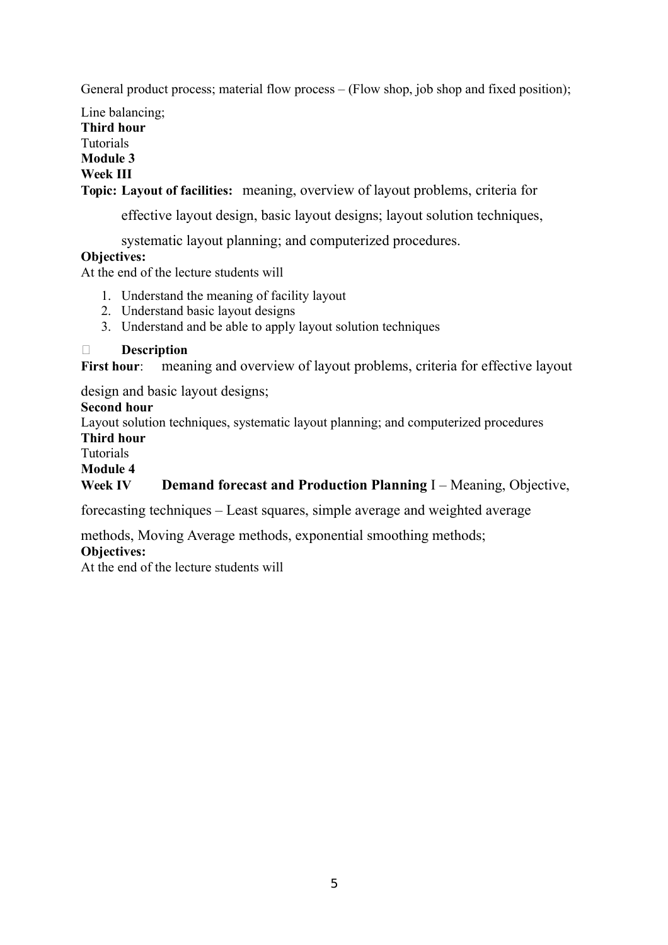General product process; material flow process – (Flow shop, job shop and fixed position);

Line balancing; **Third hour** Tutorials **Module 3 Week III**

**Topic: Layout of facilities:** meaning, overview of layout problems, criteria for

effective layout design, basic layout designs; layout solution techniques,

systematic layout planning; and computerized procedures.

## **Objectives:**

At the end of the lecture students will

- 1. Understand the meaning of facility layout
- 2. Understand basic layout designs
- 3. Understand and be able to apply layout solution techniques

## **Description**

First hour: meaning and overview of layout problems, criteria for effective layout

design and basic layout designs;

## **Second hour**

Layout solution techniques, systematic layout planning; and computerized procedures **Third hour**

#### Tutorials

#### **Module 4**

## **Week IV Demand forecast and Production Planning** I – Meaning, Objective,

forecasting techniques – Least squares, simple average and weighted average

methods, Moving Average methods, exponential smoothing methods;

#### **Objectives:**

At the end of the lecture students will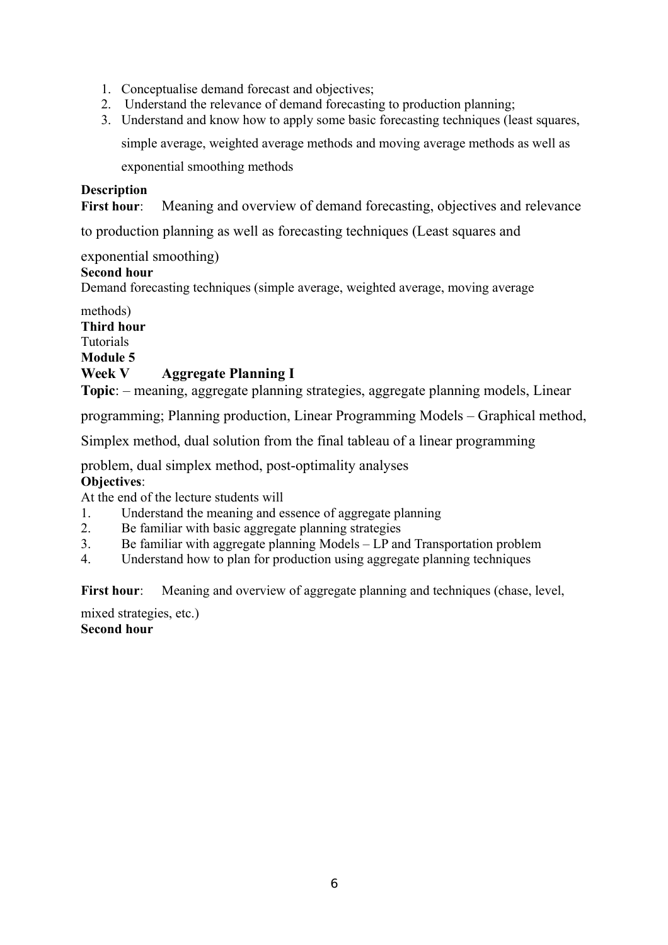- 1. Conceptualise demand forecast and objectives;
- 2. Understand the relevance of demand forecasting to production planning;
- 3. Understand and know how to apply some basic forecasting techniques (least squares,

simple average, weighted average methods and moving average methods as well as

exponential smoothing methods

#### **Description**

**First hour:** Meaning and overview of demand forecasting, objectives and relevance

to production planning as well as forecasting techniques (Least squares and

## exponential smoothing)

## **Second hour**

Demand forecasting techniques (simple average, weighted average, moving average

# methods) **Third hour** Tutorials **Module 5 Week V Aggregate Planning I**

**Topic**: – meaning, aggregate planning strategies, aggregate planning models, Linear

programming; Planning production, Linear Programming Models – Graphical method,

Simplex method, dual solution from the final tableau of a linear programming

problem, dual simplex method, post-optimality analyses

#### **Objectives**:

At the end of the lecture students will

- 1. Understand the meaning and essence of aggregate planning
- 2. Be familiar with basic aggregate planning strategies
- 3. Be familiar with aggregate planning Models LP and Transportation problem
- 4. Understand how to plan for production using aggregate planning techniques

First hour: Meaning and overview of aggregate planning and techniques (chase, level,

mixed strategies, etc.) **Second hour**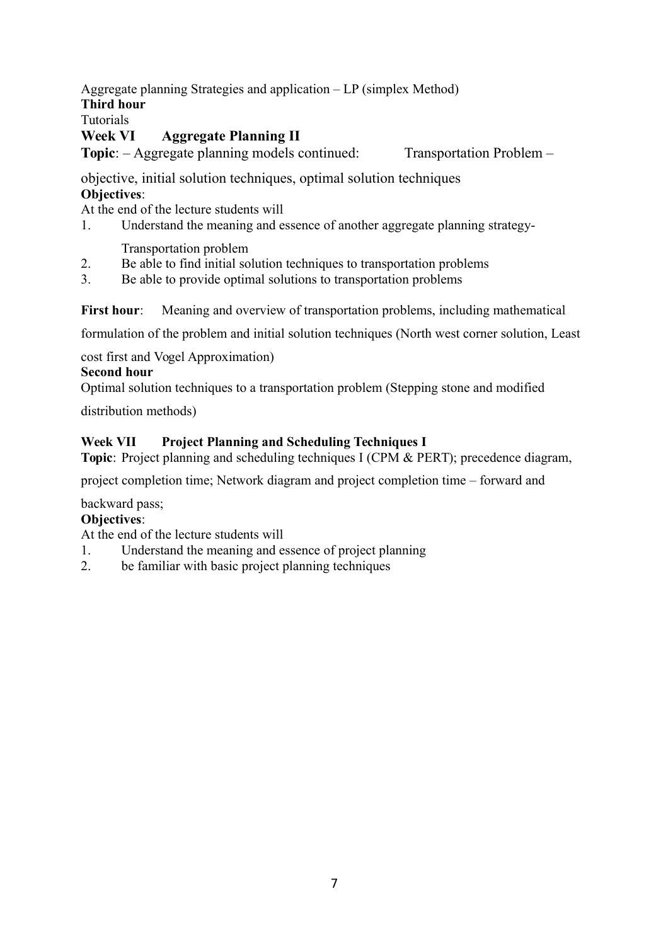Aggregate planning Strategies and application – LP (simplex Method)

**Third hour**

Tutorials

# **Week VI Aggregate Planning II**

**Topic**: – Aggregate planning models continued: Transportation Problem –

objective, initial solution techniques, optimal solution techniques **Objectives**:

At the end of the lecture students will

1. Understand the meaning and essence of another aggregate planning strategy-

Transportation problem

- 2. Be able to find initial solution techniques to transportation problems
- 3. Be able to provide optimal solutions to transportation problems

**First hour:** Meaning and overview of transportation problems, including mathematical

formulation of the problem and initial solution techniques (North west corner solution, Least

cost first and Vogel Approximation)

# **Second hour**

Optimal solution techniques to a transportation problem (Stepping stone and modified

distribution methods)

# **Week VII Project Planning and Scheduling Techniques I**

**Topic**: Project planning and scheduling techniques I (CPM & PERT); precedence diagram,

project completion time; Network diagram and project completion time – forward and

backward pass;

# **Objectives**:

At the end of the lecture students will

- 1. Understand the meaning and essence of project planning
- 2. be familiar with basic project planning techniques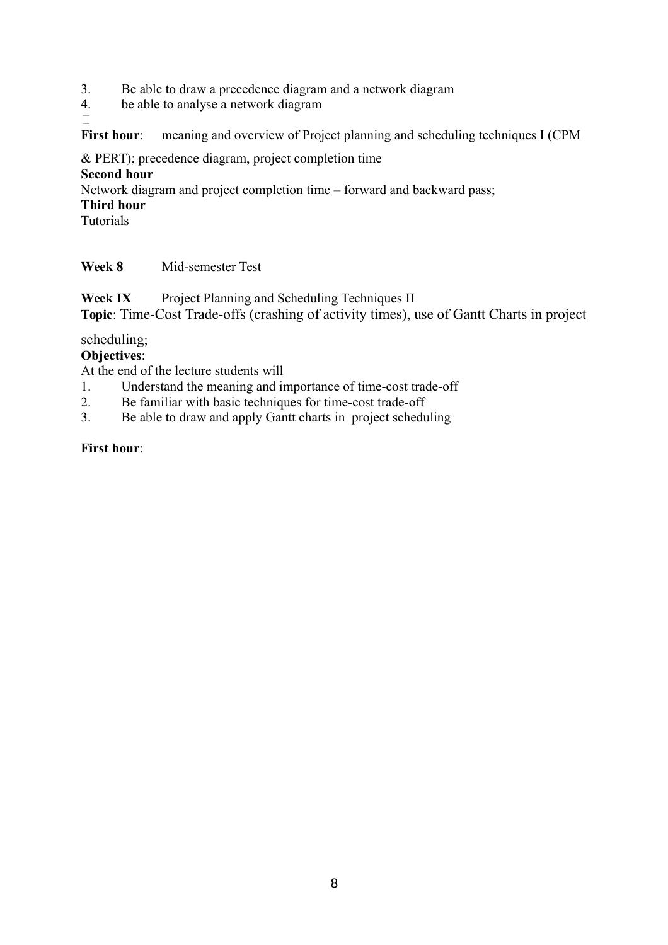- 3. Be able to draw a precedence diagram and a network diagram
- 4. be able to analyse a network diagram
- $\Box$

First hour: meaning and overview of Project planning and scheduling techniques I (CPM

& PERT); precedence diagram, project completion time

#### **Second hour**

Network diagram and project completion time – forward and backward pass;

#### **Third hour**

Tutorials

## **Week 8** Mid-semester Test

**Week IX** Project Planning and Scheduling Techniques II **Topic**: Time-Cost Trade-offs (crashing of activity times), use of Gantt Charts in project

## scheduling;

## **Objectives**:

At the end of the lecture students will

- 1. Understand the meaning and importance of time-cost trade-off
- 2. Be familiar with basic techniques for time-cost trade-off
- 3. Be able to draw and apply Gantt charts in project scheduling

## **First hour**: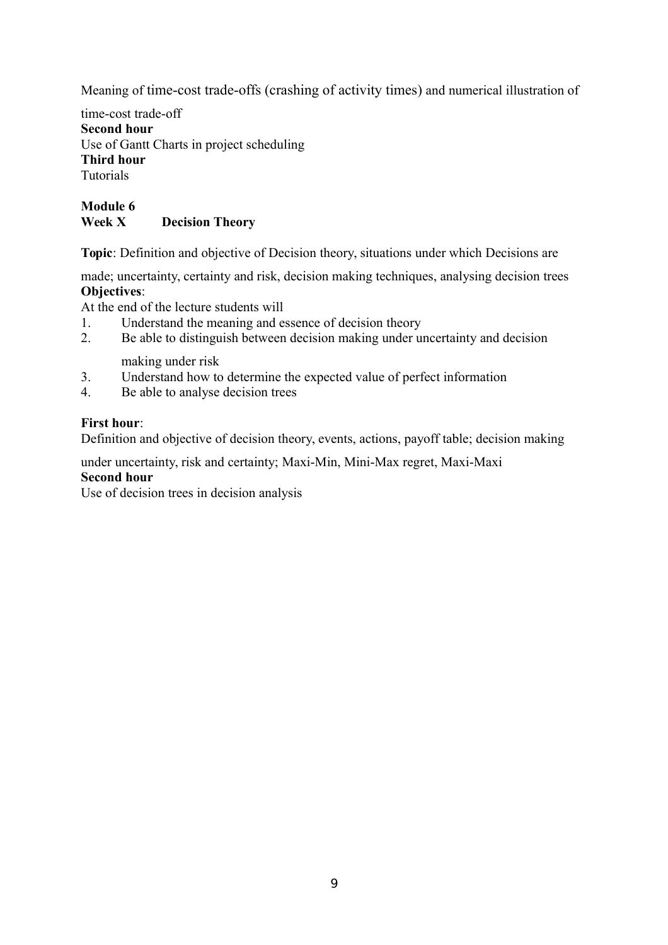Meaning of time-cost trade-offs (crashing of activity times) and numerical illustration of

time-cost trade-off **Second hour** Use of Gantt Charts in project scheduling **Third hour** Tutorials

## **Module 6 Week X Decision Theory**

**Topic**: Definition and objective of Decision theory, situations under which Decisions are

made; uncertainty, certainty and risk, decision making techniques, analysing decision trees **Objectives**:

At the end of the lecture students will

- 1. Understand the meaning and essence of decision theory
- 2. Be able to distinguish between decision making under uncertainty and decision

making under risk

- 3. Understand how to determine the expected value of perfect information
- 4. Be able to analyse decision trees

#### **First hour**:

Definition and objective of decision theory, events, actions, payoff table; decision making

under uncertainty, risk and certainty; Maxi-Min, Mini-Max regret, Maxi-Maxi **Second hour**

Use of decision trees in decision analysis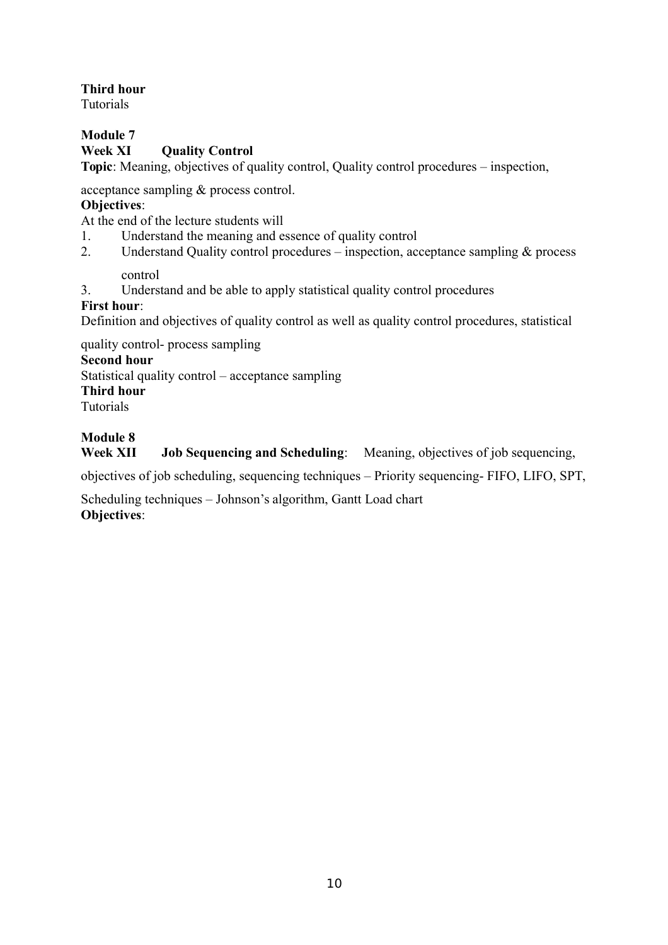## **Third hour**

Tutorials

# **Module 7**

## **Week XI Quality Control**

**Topic**: Meaning, objectives of quality control, Quality control procedures – inspection,

acceptance sampling & process control.

## **Objectives**:

At the end of the lecture students will

- 1. Understand the meaning and essence of quality control
- 2. Understand Quality control procedures inspection, acceptance sampling & process

## control

3. Understand and be able to apply statistical quality control procedures

## **First hour**:

Definition and objectives of quality control as well as quality control procedures, statistical

quality control- process sampling

# **Second hour**

Statistical quality control – acceptance sampling

**Third hour**

Tutorials

# **Module 8**

**Week XII Job Sequencing and Scheduling**: Meaning, objectives of job sequencing,

objectives of job scheduling, sequencing techniques – Priority sequencing- FIFO, LIFO, SPT,

Scheduling techniques – Johnson's algorithm, Gantt Load chart **Objectives**: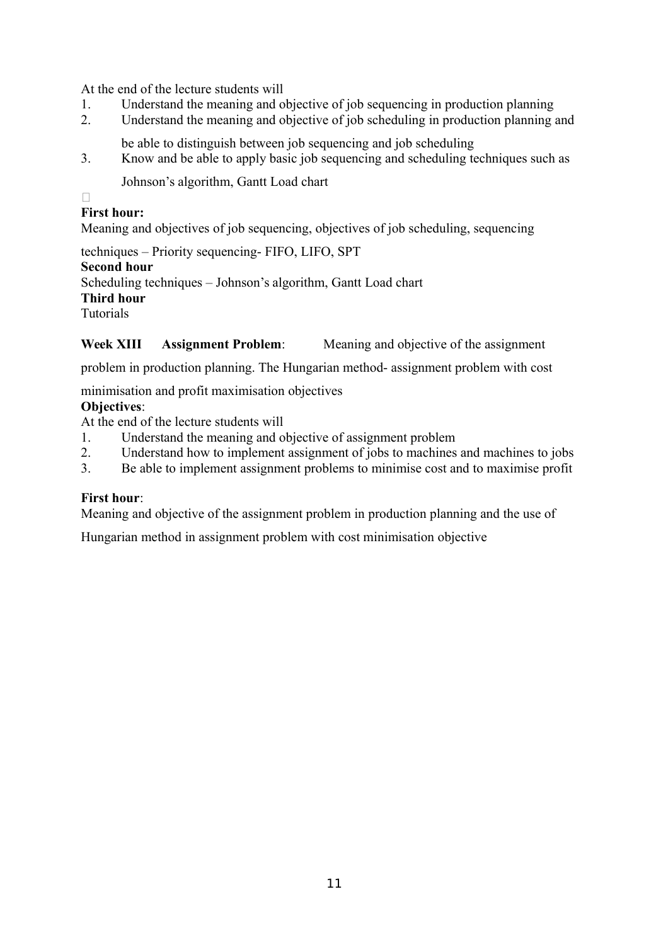At the end of the lecture students will

- 1. Understand the meaning and objective of job sequencing in production planning
- 2. Understand the meaning and objective of job scheduling in production planning and
	- be able to distinguish between job sequencing and job scheduling
- 3. Know and be able to apply basic job sequencing and scheduling techniques such as

Johnson's algorithm, Gantt Load chart

 $\Box$ 

# **First hour:**

Meaning and objectives of job sequencing, objectives of job scheduling, sequencing

techniques – Priority sequencing- FIFO, LIFO, SPT **Second hour** Scheduling techniques – Johnson's algorithm, Gantt Load chart **Third hour** Tutorials

# **Week XIII Assignment Problem**: Meaning and objective of the assignment

problem in production planning. The Hungarian method- assignment problem with cost

minimisation and profit maximisation objectives

# **Objectives**:

At the end of the lecture students will

- 1. Understand the meaning and objective of assignment problem
- 2. Understand how to implement assignment of jobs to machines and machines to jobs
- 3. Be able to implement assignment problems to minimise cost and to maximise profit

## **First hour**:

Meaning and objective of the assignment problem in production planning and the use of

Hungarian method in assignment problem with cost minimisation objective